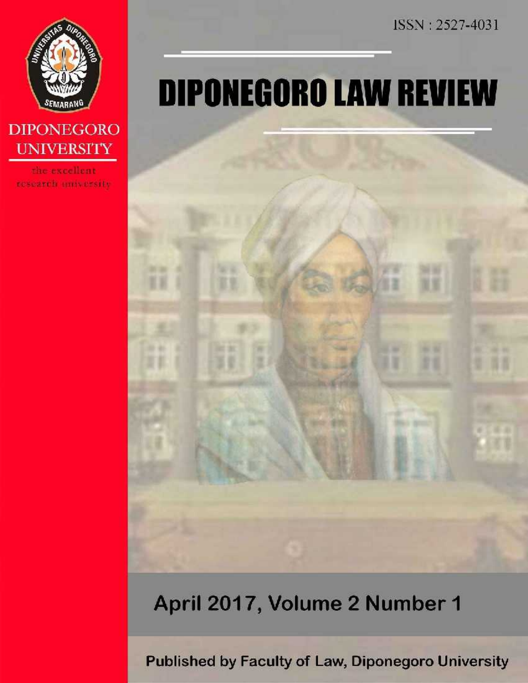ISSN: 2527-4031



# **DIPONEGORO UNIVERSITY**

the excellent research university

# **DIPONEGORO LAW REVIEW**



Published by Faculty of Law, Diponegoro University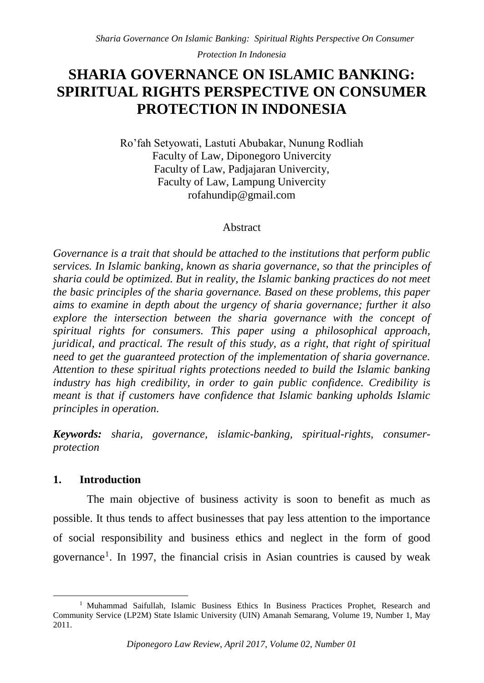*Protection In Indonesia*

# **SHARIA GOVERNANCE ON ISLAMIC BANKING: SPIRITUAL RIGHTS PERSPECTIVE ON CONSUMER PROTECTION IN INDONESIA**

Ro'fah Setyowati, Lastuti Abubakar, Nunung Rodliah Faculty of Law, Diponegoro Univercity Faculty of Law, Padjajaran Univercity, Faculty of Law, Lampung Univercity rofahundip@gmail.com

#### Abstract

*Governance is a trait that should be attached to the institutions that perform public services. In Islamic banking, known as sharia governance, so that the principles of sharia could be optimized. But in reality, the Islamic banking practices do not meet the basic principles of the sharia governance. Based on these problems, this paper aims to examine in depth about the urgency of sharia governance; further it also explore the intersection between the sharia governance with the concept of spiritual rights for consumers. This paper using a philosophical approach, juridical, and practical. The result of this study, as a right, that right of spiritual need to get the guaranteed protection of the implementation of sharia governance. Attention to these spiritual rights protections needed to build the Islamic banking industry has high credibility, in order to gain public confidence. Credibility is meant is that if customers have confidence that Islamic banking upholds Islamic principles in operation*.

*Keywords: sharia, governance, islamic-banking, spiritual-rights, consumerprotection*

#### **1. Introduction**

 $\overline{a}$ 

The main objective of business activity is soon to benefit as much as possible. It thus tends to affect businesses that pay less attention to the importance of social responsibility and business ethics and neglect in the form of good governance<sup>1</sup>. In 1997, the financial crisis in Asian countries is caused by weak

<sup>&</sup>lt;sup>1</sup> Muhammad Saifullah, Islamic Business Ethics In Business Practices Prophet, Research and Community Service (LP2M) State Islamic University (UIN) Amanah Semarang, Volume 19, Number 1, May 2011.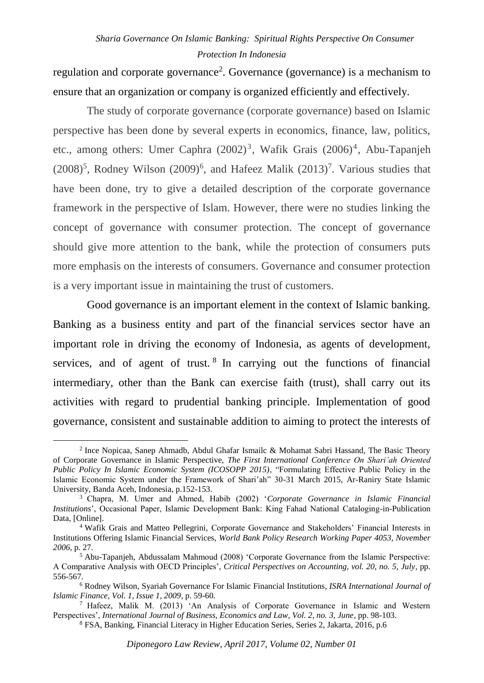regulation and corporate governance<sup>2</sup>. Governance (governance) is a mechanism to ensure that an organization or company is organized efficiently and effectively.

The study of corporate governance (corporate governance) based on Islamic perspective has been done by several experts in economics, finance, law, politics, etc., among others: Umer Caphra (2002)<sup>3</sup>, Wafik Grais (2006)<sup>4</sup>, Abu-Tapanjeh  $(2008)^5$ , Rodney Wilson  $(2009)^6$ , and Hafeez Malik  $(2013)^7$ . Various studies that have been done, try to give a detailed description of the corporate governance framework in the perspective of Islam. However, there were no studies linking the concept of governance with consumer protection. The concept of governance should give more attention to the bank, while the protection of consumers puts more emphasis on the interests of consumers. Governance and consumer protection is a very important issue in maintaining the trust of customers.

Good governance is an important element in the context of Islamic banking. Banking as a business entity and part of the financial services sector have an important role in driving the economy of Indonesia, as agents of development, services, and of agent of trust.  $8 \text{ In carrying out the functions of financial }$ intermediary, other than the Bank can exercise faith (trust), shall carry out its activities with regard to prudential banking principle. Implementation of good governance, consistent and sustainable addition to aiming to protect the interests of

<sup>&</sup>lt;sup>2</sup> Ince Nopicaa, Sanep Ahmadb, Abdul Ghafar Ismailc & Mohamat Sabri Hassand, The Basic Theory of Corporate Governance in Islamic Perspective, *The First International Conference On Shari'ah Oriented Public Policy In Islamic Economic System (ICOSOPP 2015)*, "Formulating Effective Public Policy in the Islamic Economic System under the Framework of Shari'ah" 30-31 March 2015, Ar-Raniry State Islamic University, Banda Aceh, Indonesia, p.152-153.

<sup>3</sup> Chapra, M. Umer and Ahmed, Habib (2002) '*Corporate Governance in Islamic Financial Institutions*', Occasional Paper, Islamic Development Bank: King Fahad National Cataloging-in-Publication Data, [Online].

<sup>4</sup> Wafik Grais and Matteo Pellegrini, Corporate Governance and Stakeholders' Financial Interests in Institutions Offering Islamic Financial Services, *World Bank Policy Research Working Paper 4053, November 2006*, p. 27.

<sup>5</sup> Abu-Tapanjeh, Abdussalam Mahmoud (2008) 'Corporate Governance from the Islamic Perspective: A Comparative Analysis with OECD Principles', *Critical Perspectives on Accounting, vol. 20, no. 5, July*, pp. 556-567.

<sup>6</sup> Rodney Wilson, Syariah Governance For Islamic Financial Institutions, *ISRA International Journal of Islamic Finance, Vol. 1, Issue 1, 2009*, p. 59-60.

<sup>7</sup> Hafeez, Malik M. (2013) 'An Analysis of Corporate Governance in Islamic and Western Perspectives', *International Journal of Business, Economics and Law, Vol. 2, no. 3, June*, pp. 98-103.

<sup>8</sup> FSA, Banking, Financial Literacy in Higher Education Series, Series 2, Jakarta, 2016, p.6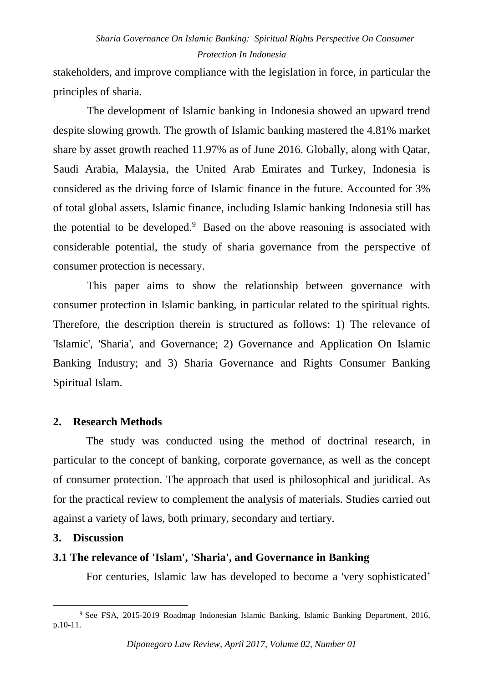stakeholders, and improve compliance with the legislation in force, in particular the principles of sharia.

The development of Islamic banking in Indonesia showed an upward trend despite slowing growth. The growth of Islamic banking mastered the 4.81% market share by asset growth reached 11.97% as of June 2016. Globally, along with Qatar, Saudi Arabia, Malaysia, the United Arab Emirates and Turkey, Indonesia is considered as the driving force of Islamic finance in the future. Accounted for 3% of total global assets, Islamic finance, including Islamic banking Indonesia still has the potential to be developed.<sup>9</sup> Based on the above reasoning is associated with considerable potential, the study of sharia governance from the perspective of consumer protection is necessary.

This paper aims to show the relationship between governance with consumer protection in Islamic banking, in particular related to the spiritual rights. Therefore, the description therein is structured as follows: 1) The relevance of 'Islamic', 'Sharia', and Governance; 2) Governance and Application On Islamic Banking Industry; and 3) Sharia Governance and Rights Consumer Banking Spiritual Islam.

#### **2. Research Methods**

The study was conducted using the method of doctrinal research, in particular to the concept of banking, corporate governance, as well as the concept of consumer protection. The approach that used is philosophical and juridical. As for the practical review to complement the analysis of materials. Studies carried out against a variety of laws, both primary, secondary and tertiary.

#### **3. Discussion**

 $\overline{a}$ 

#### **3.1 The relevance of 'Islam', 'Sharia', and Governance in Banking**

For centuries, Islamic law has developed to become a 'very sophisticated'

<sup>9</sup> See FSA, 2015-2019 Roadmap Indonesian Islamic Banking, Islamic Banking Department, 2016, p.10-11.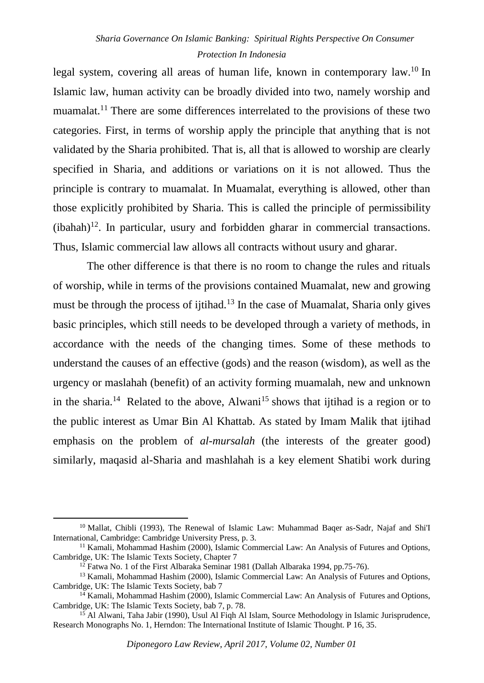legal system, covering all areas of human life, known in contemporary law.<sup>10</sup> In Islamic law, human activity can be broadly divided into two, namely worship and muamalat.<sup>11</sup> There are some differences interrelated to the provisions of these two categories. First, in terms of worship apply the principle that anything that is not validated by the Sharia prohibited. That is, all that is allowed to worship are clearly specified in Sharia, and additions or variations on it is not allowed. Thus the principle is contrary to muamalat. In Muamalat, everything is allowed, other than those explicitly prohibited by Sharia. This is called the principle of permissibility  $(ibahah)^{12}$ . In particular, usury and forbidden gharar in commercial transactions. Thus, Islamic commercial law allows all contracts without usury and gharar.

The other difference is that there is no room to change the rules and rituals of worship, while in terms of the provisions contained Muamalat, new and growing must be through the process of ijtihad.<sup>13</sup> In the case of Muamalat, Sharia only gives basic principles, which still needs to be developed through a variety of methods, in accordance with the needs of the changing times. Some of these methods to understand the causes of an effective (gods) and the reason (wisdom), as well as the urgency or maslahah (benefit) of an activity forming muamalah, new and unknown in the sharia.<sup>14</sup> Related to the above, Alwani<sup>15</sup> shows that ijtihad is a region or to the public interest as Umar Bin Al Khattab. As stated by Imam Malik that ijtihad emphasis on the problem of *al-mursalah* (the interests of the greater good) similarly, maqasid al-Sharia and mashlahah is a key element Shatibi work during

<sup>&</sup>lt;sup>10</sup> Mallat, Chibli (1993), The Renewal of Islamic Law: Muhammad Baqer as-Sadr, Najaf and Shi'I International, Cambridge: Cambridge University Press, p. 3.

<sup>&</sup>lt;sup>11</sup> Kamali, Mohammad Hashim (2000), Islamic Commercial Law: An Analysis of Futures and Options, Cambridge, UK: The Islamic Texts Society, Chapter 7

 $12$  Fatwa No. 1 of the First Albaraka Seminar 1981 (Dallah Albaraka 1994, pp.75-76).

<sup>&</sup>lt;sup>13</sup> Kamali, Mohammad Hashim (2000), Islamic Commercial Law: An Analysis of Futures and Options, Cambridge, UK: The Islamic Texts Society, bab 7

<sup>&</sup>lt;sup>14</sup> Kamali, Mohammad Hashim (2000), Islamic Commercial Law: An Analysis of Futures and Options, Cambridge, UK: The Islamic Texts Society, bab 7, p. 78.

<sup>&</sup>lt;sup>15</sup> Al Alwani, Taha Jabir (1990), Usul Al Fiqh Al Islam, Source Methodology in Islamic Jurisprudence, Research Monographs No. 1, Herndon: The International Institute of Islamic Thought. P 16, 35.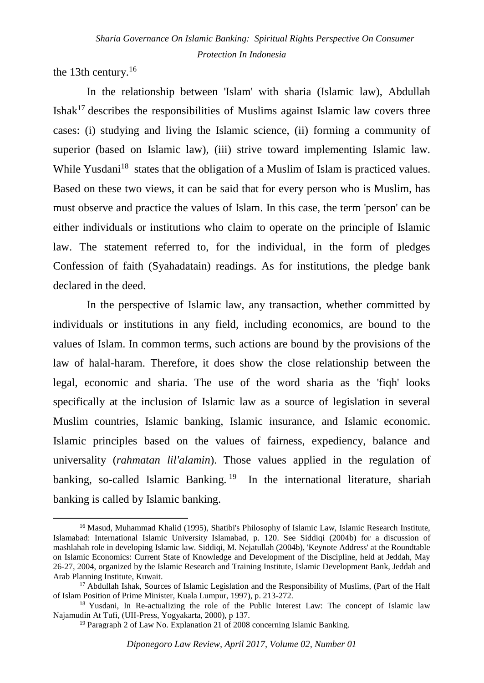the 13th century.<sup>16</sup>

In the relationship between 'Islam' with sharia (Islamic law), Abdullah  $Ishak<sup>17</sup>$  describes the responsibilities of Muslims against Islamic law covers three cases: (i) studying and living the Islamic science, (ii) forming a community of superior (based on Islamic law), (iii) strive toward implementing Islamic law. While Yusdani<sup>18</sup> states that the obligation of a Muslim of Islam is practiced values. Based on these two views, it can be said that for every person who is Muslim, has must observe and practice the values of Islam. In this case, the term 'person' can be either individuals or institutions who claim to operate on the principle of Islamic law. The statement referred to, for the individual, in the form of pledges Confession of faith (Syahadatain) readings. As for institutions, the pledge bank declared in the deed.

In the perspective of Islamic law, any transaction, whether committed by individuals or institutions in any field, including economics, are bound to the values of Islam. In common terms, such actions are bound by the provisions of the law of halal-haram. Therefore, it does show the close relationship between the legal, economic and sharia. The use of the word sharia as the 'fiqh' looks specifically at the inclusion of Islamic law as a source of legislation in several Muslim countries, Islamic banking, Islamic insurance, and Islamic economic. Islamic principles based on the values of fairness, expediency, balance and universality (*rahmatan lil'alamin*). Those values applied in the regulation of banking, so-called Islamic Banking.<sup>19</sup> In the international literature, shariah banking is called by Islamic banking.

 $\overline{a}$ <sup>16</sup> Masud, Muhammad Khalid (1995), Shatibi's Philosophy of Islamic Law, Islamic Research Institute, Islamabad: International Islamic University Islamabad, p. 120. See Siddiqi (2004b) for a discussion of mashlahah role in developing Islamic law. Siddiqi, M. Nejatullah (2004b), 'Keynote Address' at the Roundtable on Islamic Economics: Current State of Knowledge and Development of the Discipline, held at Jeddah, May 26-27, 2004, organized by the Islamic Research and Training Institute, Islamic Development Bank, Jeddah and Arab Planning Institute, Kuwait.

<sup>&</sup>lt;sup>17</sup> Abdullah Ishak, Sources of Islamic Legislation and the Responsibility of Muslims, (Part of the Half of Islam Position of Prime Minister, Kuala Lumpur, 1997), p. 213-272.

<sup>&</sup>lt;sup>18</sup> Yusdani, In Re-actualizing the role of the Public Interest Law: The concept of Islamic law Najamudin At Tufi, (UII-Press, Yogyakarta, 2000), p 137.

<sup>&</sup>lt;sup>19</sup> Paragraph 2 of Law No. Explanation 21 of 2008 concerning Islamic Banking.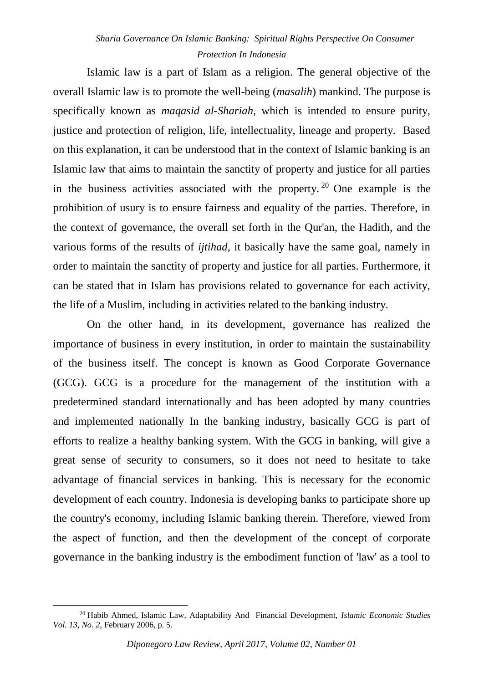Islamic law is a part of Islam as a religion. The general objective of the overall Islamic law is to promote the well-being (*masalih*) mankind. The purpose is specifically known as *maqasid al-Shariah*, which is intended to ensure purity, justice and protection of religion, life, intellectuality, lineage and property. Based on this explanation, it can be understood that in the context of Islamic banking is an Islamic law that aims to maintain the sanctity of property and justice for all parties in the business activities associated with the property. <sup>20</sup> One example is the prohibition of usury is to ensure fairness and equality of the parties. Therefore, in the context of governance, the overall set forth in the Qur'an, the Hadith, and the various forms of the results of *ijtihad*, it basically have the same goal, namely in order to maintain the sanctity of property and justice for all parties. Furthermore, it can be stated that in Islam has provisions related to governance for each activity, the life of a Muslim, including in activities related to the banking industry.

On the other hand, in its development, governance has realized the importance of business in every institution, in order to maintain the sustainability of the business itself. The concept is known as Good Corporate Governance (GCG). GCG is a procedure for the management of the institution with a predetermined standard internationally and has been adopted by many countries and implemented nationally In the banking industry, basically GCG is part of efforts to realize a healthy banking system. With the GCG in banking, will give a great sense of security to consumers, so it does not need to hesitate to take advantage of financial services in banking. This is necessary for the economic development of each country. Indonesia is developing banks to participate shore up the country's economy, including Islamic banking therein. Therefore, viewed from the aspect of function, and then the development of the concept of corporate governance in the banking industry is the embodiment function of 'law' as a tool to

<sup>20</sup> Habib Ahmed, Islamic Law, Adaptability And Financial Development, *Islamic Economic Studies Vol. 13, No. 2,* February 2006, p. 5.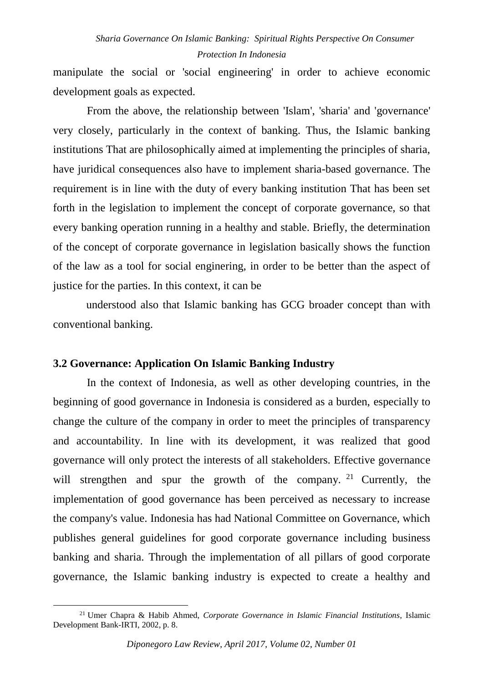manipulate the social or 'social engineering' in order to achieve economic development goals as expected.

From the above, the relationship between 'Islam', 'sharia' and 'governance' very closely, particularly in the context of banking. Thus, the Islamic banking institutions That are philosophically aimed at implementing the principles of sharia, have juridical consequences also have to implement sharia-based governance. The requirement is in line with the duty of every banking institution That has been set forth in the legislation to implement the concept of corporate governance, so that every banking operation running in a healthy and stable. Briefly, the determination of the concept of corporate governance in legislation basically shows the function of the law as a tool for social enginering, in order to be better than the aspect of justice for the parties. In this context, it can be

understood also that Islamic banking has GCG broader concept than with conventional banking.

#### **3.2 Governance: Application On Islamic Banking Industry**

 $\overline{a}$ 

In the context of Indonesia, as well as other developing countries, in the beginning of good governance in Indonesia is considered as a burden, especially to change the culture of the company in order to meet the principles of transparency and accountability. In line with its development, it was realized that good governance will only protect the interests of all stakeholders. Effective governance will strengthen and spur the growth of the company. <sup>21</sup> Currently, the implementation of good governance has been perceived as necessary to increase the company's value. Indonesia has had National Committee on Governance, which publishes general guidelines for good corporate governance including business banking and sharia. Through the implementation of all pillars of good corporate governance, the Islamic banking industry is expected to create a healthy and

<sup>21</sup> Umer Chapra & Habib Ahmed, *Corporate Governance in Islamic Financial Institutions*, Islamic Development Bank-IRTI, 2002, p. 8.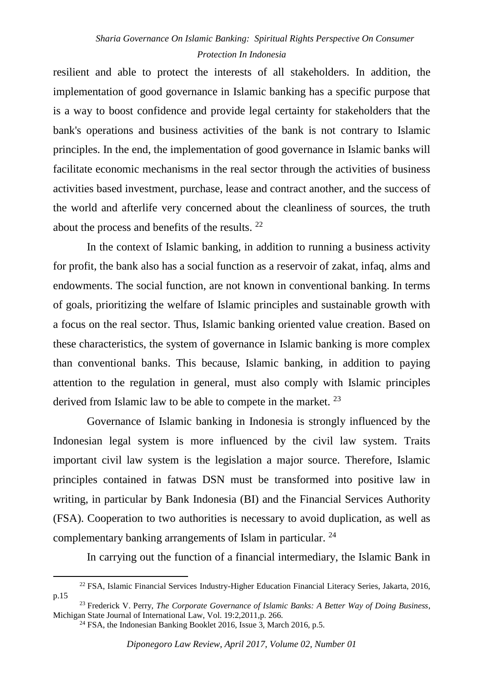resilient and able to protect the interests of all stakeholders. In addition, the implementation of good governance in Islamic banking has a specific purpose that is a way to boost confidence and provide legal certainty for stakeholders that the bank's operations and business activities of the bank is not contrary to Islamic principles. In the end, the implementation of good governance in Islamic banks will facilitate economic mechanisms in the real sector through the activities of business activities based investment, purchase, lease and contract another, and the success of the world and afterlife very concerned about the cleanliness of sources, the truth about the process and benefits of the results. <sup>22</sup>

In the context of Islamic banking, in addition to running a business activity for profit, the bank also has a social function as a reservoir of zakat, infaq, alms and endowments. The social function, are not known in conventional banking. In terms of goals, prioritizing the welfare of Islamic principles and sustainable growth with a focus on the real sector. Thus, Islamic banking oriented value creation. Based on these characteristics, the system of governance in Islamic banking is more complex than conventional banks. This because, Islamic banking, in addition to paying attention to the regulation in general, must also comply with Islamic principles derived from Islamic law to be able to compete in the market.<sup>23</sup>

Governance of Islamic banking in Indonesia is strongly influenced by the Indonesian legal system is more influenced by the civil law system. Traits important civil law system is the legislation a major source. Therefore, Islamic principles contained in fatwas DSN must be transformed into positive law in writing, in particular by Bank Indonesia (BI) and the Financial Services Authority (FSA). Cooperation to two authorities is necessary to avoid duplication, as well as complementary banking arrangements of Islam in particular. <sup>24</sup>

In carrying out the function of a financial intermediary, the Islamic Bank in

<sup>22</sup> FSA, Islamic Financial Services Industry-Higher Education Financial Literacy Series, Jakarta, 2016, p.15

<sup>23</sup> Frederick V. Perry, *The Corporate Governance of Islamic Banks: A Better Way of Doing Business*, Michigan State Journal of International Law, Vol. 19:2,2011,p. 266.

<sup>&</sup>lt;sup>24</sup> FSA, the Indonesian Banking Booklet 2016, Issue  $\overline{3}$ , March 2016, p.5.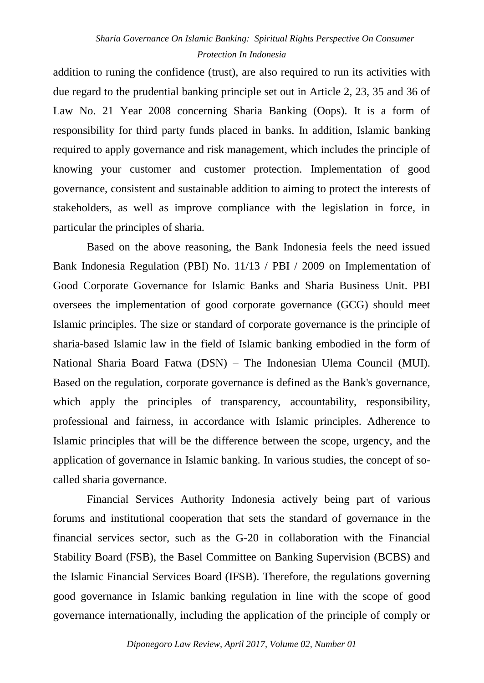addition to runing the confidence (trust), are also required to run its activities with due regard to the prudential banking principle set out in Article 2, 23, 35 and 36 of Law No. 21 Year 2008 concerning Sharia Banking (Oops). It is a form of responsibility for third party funds placed in banks. In addition, Islamic banking required to apply governance and risk management, which includes the principle of knowing your customer and customer protection. Implementation of good governance, consistent and sustainable addition to aiming to protect the interests of stakeholders, as well as improve compliance with the legislation in force, in particular the principles of sharia.

Based on the above reasoning, the Bank Indonesia feels the need issued Bank Indonesia Regulation (PBI) No. 11/13 / PBI / 2009 on Implementation of Good Corporate Governance for Islamic Banks and Sharia Business Unit. PBI oversees the implementation of good corporate governance (GCG) should meet Islamic principles. The size or standard of corporate governance is the principle of sharia-based Islamic law in the field of Islamic banking embodied in the form of National Sharia Board Fatwa (DSN) – The Indonesian Ulema Council (MUI). Based on the regulation, corporate governance is defined as the Bank's governance, which apply the principles of transparency, accountability, responsibility, professional and fairness, in accordance with Islamic principles. Adherence to Islamic principles that will be the difference between the scope, urgency, and the application of governance in Islamic banking. In various studies, the concept of socalled sharia governance.

Financial Services Authority Indonesia actively being part of various forums and institutional cooperation that sets the standard of governance in the financial services sector, such as the G-20 in collaboration with the Financial Stability Board (FSB), the Basel Committee on Banking Supervision (BCBS) and the Islamic Financial Services Board (IFSB). Therefore, the regulations governing good governance in Islamic banking regulation in line with the scope of good governance internationally, including the application of the principle of comply or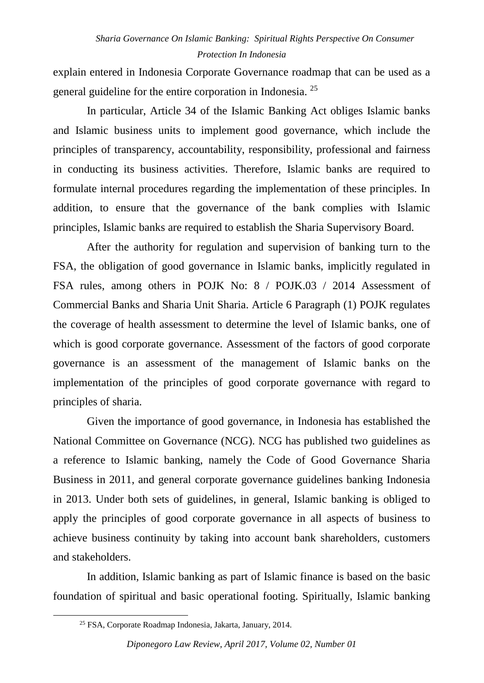explain entered in Indonesia Corporate Governance roadmap that can be used as a general guideline for the entire corporation in Indonesia. <sup>25</sup>

In particular, Article 34 of the Islamic Banking Act obliges Islamic banks and Islamic business units to implement good governance, which include the principles of transparency, accountability, responsibility, professional and fairness in conducting its business activities. Therefore, Islamic banks are required to formulate internal procedures regarding the implementation of these principles. In addition, to ensure that the governance of the bank complies with Islamic principles, Islamic banks are required to establish the Sharia Supervisory Board.

After the authority for regulation and supervision of banking turn to the FSA, the obligation of good governance in Islamic banks, implicitly regulated in FSA rules, among others in POJK No: 8 / POJK.03 / 2014 Assessment of Commercial Banks and Sharia Unit Sharia. Article 6 Paragraph (1) POJK regulates the coverage of health assessment to determine the level of Islamic banks, one of which is good corporate governance. Assessment of the factors of good corporate governance is an assessment of the management of Islamic banks on the implementation of the principles of good corporate governance with regard to principles of sharia.

Given the importance of good governance, in Indonesia has established the National Committee on Governance (NCG). NCG has published two guidelines as a reference to Islamic banking, namely the Code of Good Governance Sharia Business in 2011, and general corporate governance guidelines banking Indonesia in 2013. Under both sets of guidelines, in general, Islamic banking is obliged to apply the principles of good corporate governance in all aspects of business to achieve business continuity by taking into account bank shareholders, customers and stakeholders.

In addition, Islamic banking as part of Islamic finance is based on the basic foundation of spiritual and basic operational footing. Spiritually, Islamic banking

<sup>25</sup> FSA, Corporate Roadmap Indonesia, Jakarta, January, 2014.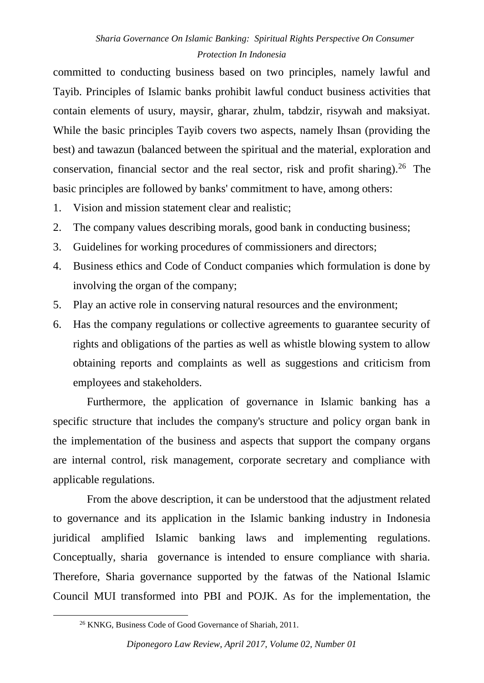committed to conducting business based on two principles, namely lawful and Tayib. Principles of Islamic banks prohibit lawful conduct business activities that contain elements of usury, maysir, gharar, zhulm, tabdzir, risywah and maksiyat. While the basic principles Tayib covers two aspects, namely Ihsan (providing the best) and tawazun (balanced between the spiritual and the material, exploration and conservation, financial sector and the real sector, risk and profit sharing).<sup>26</sup> The basic principles are followed by banks' commitment to have, among others:

- 1. Vision and mission statement clear and realistic;
- 2. The company values describing morals, good bank in conducting business;
- 3. Guidelines for working procedures of commissioners and directors;
- 4. Business ethics and Code of Conduct companies which formulation is done by involving the organ of the company;
- 5. Play an active role in conserving natural resources and the environment;
- 6. Has the company regulations or collective agreements to guarantee security of rights and obligations of the parties as well as whistle blowing system to allow obtaining reports and complaints as well as suggestions and criticism from employees and stakeholders.

Furthermore, the application of governance in Islamic banking has a specific structure that includes the company's structure and policy organ bank in the implementation of the business and aspects that support the company organs are internal control, risk management, corporate secretary and compliance with applicable regulations.

From the above description, it can be understood that the adjustment related to governance and its application in the Islamic banking industry in Indonesia juridical amplified Islamic banking laws and implementing regulations. Conceptually, sharia governance is intended to ensure compliance with sharia. Therefore, Sharia governance supported by the fatwas of the National Islamic Council MUI transformed into PBI and POJK. As for the implementation, the

<sup>26</sup> KNKG, Business Code of Good Governance of Shariah, 2011.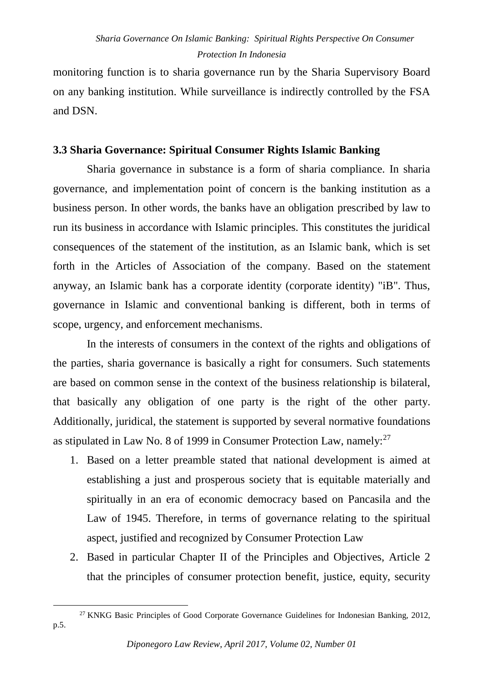monitoring function is to sharia governance run by the Sharia Supervisory Board on any banking institution. While surveillance is indirectly controlled by the FSA and DSN.

#### **3.3 Sharia Governance: Spiritual Consumer Rights Islamic Banking**

Sharia governance in substance is a form of sharia compliance. In sharia governance, and implementation point of concern is the banking institution as a business person. In other words, the banks have an obligation prescribed by law to run its business in accordance with Islamic principles. This constitutes the juridical consequences of the statement of the institution, as an Islamic bank, which is set forth in the Articles of Association of the company. Based on the statement anyway, an Islamic bank has a corporate identity (corporate identity) "iB". Thus, governance in Islamic and conventional banking is different, both in terms of scope, urgency, and enforcement mechanisms.

In the interests of consumers in the context of the rights and obligations of the parties, sharia governance is basically a right for consumers. Such statements are based on common sense in the context of the business relationship is bilateral, that basically any obligation of one party is the right of the other party. Additionally, juridical, the statement is supported by several normative foundations as stipulated in Law No. 8 of 1999 in Consumer Protection Law, namely:<sup>27</sup>

- 1. Based on a letter preamble stated that national development is aimed at establishing a just and prosperous society that is equitable materially and spiritually in an era of economic democracy based on Pancasila and the Law of 1945. Therefore, in terms of governance relating to the spiritual aspect, justified and recognized by Consumer Protection Law
- 2. Based in particular Chapter II of the Principles and Objectives, Article 2 that the principles of consumer protection benefit, justice, equity, security

<sup>27</sup> KNKG Basic Principles of Good Corporate Governance Guidelines for Indonesian Banking, 2012,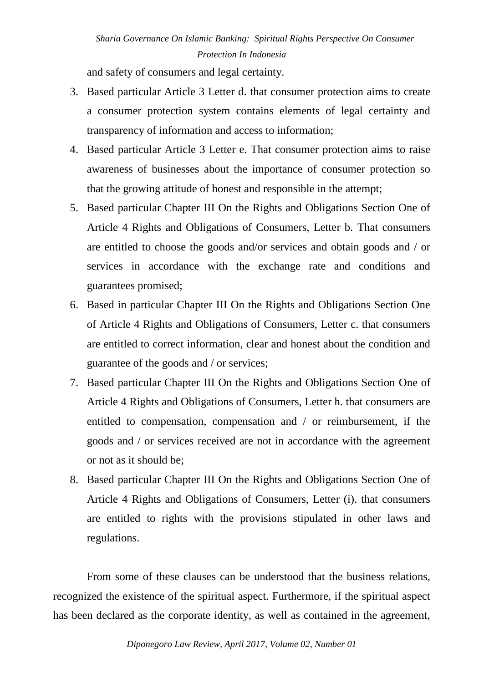and safety of consumers and legal certainty.

- 3. Based particular Article 3 Letter d. that consumer protection aims to create a consumer protection system contains elements of legal certainty and transparency of information and access to information;
- 4. Based particular Article 3 Letter e. That consumer protection aims to raise awareness of businesses about the importance of consumer protection so that the growing attitude of honest and responsible in the attempt;
- 5. Based particular Chapter III On the Rights and Obligations Section One of Article 4 Rights and Obligations of Consumers, Letter b. That consumers are entitled to choose the goods and/or services and obtain goods and / or services in accordance with the exchange rate and conditions and guarantees promised;
- 6. Based in particular Chapter III On the Rights and Obligations Section One of Article 4 Rights and Obligations of Consumers, Letter c. that consumers are entitled to correct information, clear and honest about the condition and guarantee of the goods and / or services;
- 7. Based particular Chapter III On the Rights and Obligations Section One of Article 4 Rights and Obligations of Consumers, Letter h. that consumers are entitled to compensation, compensation and / or reimbursement, if the goods and / or services received are not in accordance with the agreement or not as it should be;
- 8. Based particular Chapter III On the Rights and Obligations Section One of Article 4 Rights and Obligations of Consumers, Letter (i). that consumers are entitled to rights with the provisions stipulated in other laws and regulations.

From some of these clauses can be understood that the business relations, recognized the existence of the spiritual aspect. Furthermore, if the spiritual aspect has been declared as the corporate identity, as well as contained in the agreement,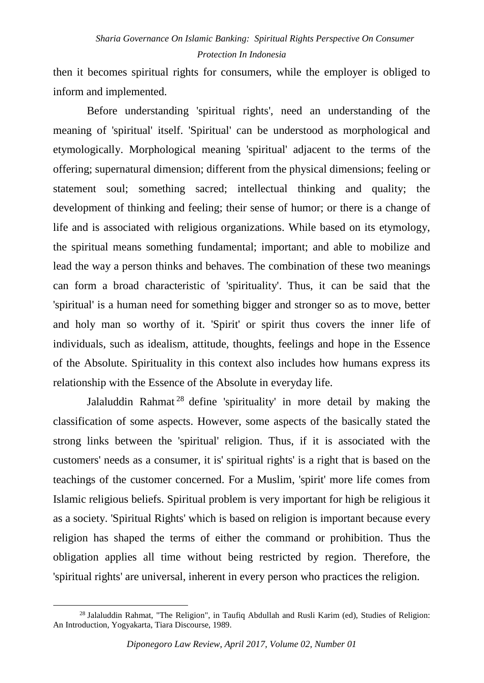then it becomes spiritual rights for consumers, while the employer is obliged to inform and implemented.

Before understanding 'spiritual rights', need an understanding of the meaning of 'spiritual' itself. 'Spiritual' can be understood as morphological and etymologically. Morphological meaning 'spiritual' adjacent to the terms of the offering; supernatural dimension; different from the physical dimensions; feeling or statement soul; something sacred; intellectual thinking and quality; the development of thinking and feeling; their sense of humor; or there is a change of life and is associated with religious organizations. While based on its etymology, the spiritual means something fundamental; important; and able to mobilize and lead the way a person thinks and behaves. The combination of these two meanings can form a broad characteristic of 'spirituality'. Thus, it can be said that the 'spiritual' is a human need for something bigger and stronger so as to move, better and holy man so worthy of it. 'Spirit' or spirit thus covers the inner life of individuals, such as idealism, attitude, thoughts, feelings and hope in the Essence of the Absolute. Spirituality in this context also includes how humans express its relationship with the Essence of the Absolute in everyday life.

Jalaluddin Rahmat <sup>28</sup> define 'spirituality' in more detail by making the classification of some aspects. However, some aspects of the basically stated the strong links between the 'spiritual' religion. Thus, if it is associated with the customers' needs as a consumer, it is' spiritual rights' is a right that is based on the teachings of the customer concerned. For a Muslim, 'spirit' more life comes from Islamic religious beliefs. Spiritual problem is very important for high be religious it as a society. 'Spiritual Rights' which is based on religion is important because every religion has shaped the terms of either the command or prohibition. Thus the obligation applies all time without being restricted by region. Therefore, the 'spiritual rights' are universal, inherent in every person who practices the religion.

<sup>&</sup>lt;sup>28</sup> Jalaluddin Rahmat, "The Religion", in Taufiq Abdullah and Rusli Karim (ed), Studies of Religion: An Introduction, Yogyakarta, Tiara Discourse, 1989.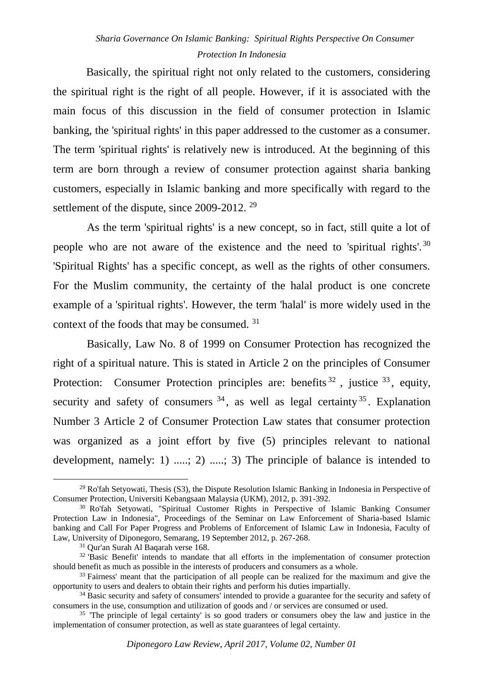Basically, the spiritual right not only related to the customers, considering the spiritual right is the right of all people. However, if it is associated with the main focus of this discussion in the field of consumer protection in Islamic banking, the 'spiritual rights' in this paper addressed to the customer as a consumer. The term 'spiritual rights' is relatively new is introduced. At the beginning of this term are born through a review of consumer protection against sharia banking customers, especially in Islamic banking and more specifically with regard to the settlement of the dispute, since 2009-2012.<sup>29</sup>

As the term 'spiritual rights' is a new concept, so in fact, still quite a lot of people who are not aware of the existence and the need to 'spiritual rights'.<sup>30</sup> 'Spiritual Rights' has a specific concept, as well as the rights of other consumers. For the Muslim community, the certainty of the halal product is one concrete example of a 'spiritual rights'. However, the term 'halal' is more widely used in the context of the foods that may be consumed. <sup>31</sup>

Basically, Law No. 8 of 1999 on Consumer Protection has recognized the right of a spiritual nature. This is stated in Article 2 on the principles of Consumer Protection: Consumer Protection principles are: benefits  $32$ , justice  $33$ , equity, security and safety of consumers  $34$ , as well as legal certainty  $35$ . Explanation Number 3 Article 2 of Consumer Protection Law states that consumer protection was organized as a joint effort by five (5) principles relevant to national development, namely: 1)  $,...$ ; 2)  $,...$ ; 3) The principle of balance is intended to

<sup>29</sup> Ro'fah Setyowati, Thesis (S3), the Dispute Resolution Islamic Banking in Indonesia in Perspective of Consumer Protection, Universiti Kebangsaan Malaysia (UKM), 2012, p. 391-392.

<sup>30</sup> Ro'fah Setyowati, "Spiritual Customer Rights in Perspective of Islamic Banking Consumer Protection Law in Indonesia", Proceedings of the Seminar on Law Enforcement of Sharia-based Islamic banking and Call For Paper Progress and Problems of Enforcement of Islamic Law in Indonesia, Faculty of Law, University of Diponegoro, Semarang, 19 September 2012, p. 267-268.

<sup>31</sup> Qur'an Surah Al Baqarah verse 168.

<sup>&</sup>lt;sup>32</sup> 'Basic Benefit' intends to mandate that all efforts in the implementation of consumer protection should benefit as much as possible in the interests of producers and consumers as a whole.

<sup>&</sup>lt;sup>33</sup> Fairness' meant that the participation of all people can be realized for the maximum and give the opportunity to users and dealers to obtain their rights and perform his duties impartially.

<sup>&</sup>lt;sup>34</sup> Basic security and safety of consumers' intended to provide a guarantee for the security and safety of consumers in the use, consumption and utilization of goods and / or services are consumed or used.

<sup>&</sup>lt;sup>35</sup> 'The principle of legal certainty' is so good traders or consumers obey the law and justice in the implementation of consumer protection, as well as state guarantees of legal certainty.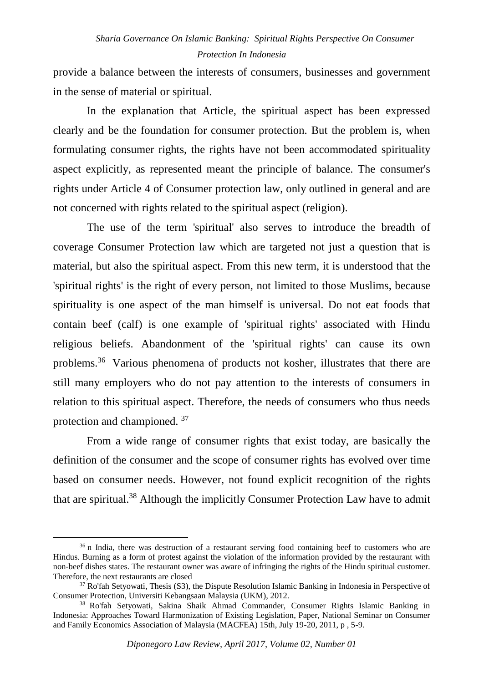provide a balance between the interests of consumers, businesses and government in the sense of material or spiritual.

In the explanation that Article, the spiritual aspect has been expressed clearly and be the foundation for consumer protection. But the problem is, when formulating consumer rights, the rights have not been accommodated spirituality aspect explicitly, as represented meant the principle of balance. The consumer's rights under Article 4 of Consumer protection law, only outlined in general and are not concerned with rights related to the spiritual aspect (religion).

The use of the term 'spiritual' also serves to introduce the breadth of coverage Consumer Protection law which are targeted not just a question that is material, but also the spiritual aspect. From this new term, it is understood that the 'spiritual rights' is the right of every person, not limited to those Muslims, because spirituality is one aspect of the man himself is universal. Do not eat foods that contain beef (calf) is one example of 'spiritual rights' associated with Hindu religious beliefs. Abandonment of the 'spiritual rights' can cause its own problems.<sup>36</sup> Various phenomena of products not kosher, illustrates that there are still many employers who do not pay attention to the interests of consumers in relation to this spiritual aspect. Therefore, the needs of consumers who thus needs protection and championed. <sup>37</sup>

From a wide range of consumer rights that exist today, are basically the definition of the consumer and the scope of consumer rights has evolved over time based on consumer needs. However, not found explicit recognition of the rights that are spiritual.<sup>38</sup> Although the implicitly Consumer Protection Law have to admit

<sup>&</sup>lt;sup>36</sup> n India, there was destruction of a restaurant serving food containing beef to customers who are Hindus. Burning as a form of protest against the violation of the information provided by the restaurant with non-beef dishes states. The restaurant owner was aware of infringing the rights of the Hindu spiritual customer. Therefore, the next restaurants are closed

<sup>37</sup> Ro'fah Setyowati, Thesis (S3), the Dispute Resolution Islamic Banking in Indonesia in Perspective of Consumer Protection, Universiti Kebangsaan Malaysia (UKM), 2012.

<sup>38</sup> Ro'fah Setyowati, Sakina Shaik Ahmad Commander, Consumer Rights Islamic Banking in Indonesia: Approaches Toward Harmonization of Existing Legislation, Paper, National Seminar on Consumer and Family Economics Association of Malaysia (MACFEA) 15th, July 19-20, 2011, p , 5-9.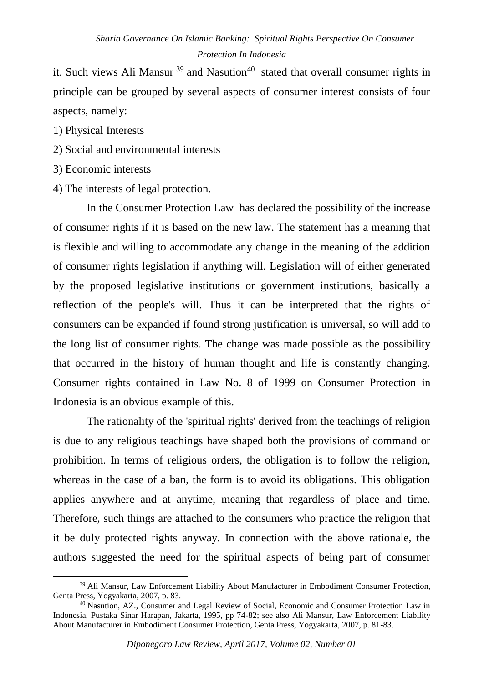it. Such views Ali Mansur<sup>39</sup> and Nasution<sup>40</sup> stated that overall consumer rights in principle can be grouped by several aspects of consumer interest consists of four aspects, namely:

1) Physical Interests

- 2) Social and environmental interests
- 3) Economic interests

 $\overline{a}$ 

4) The interests of legal protection.

In the Consumer Protection Law has declared the possibility of the increase of consumer rights if it is based on the new law. The statement has a meaning that is flexible and willing to accommodate any change in the meaning of the addition of consumer rights legislation if anything will. Legislation will of either generated by the proposed legislative institutions or government institutions, basically a reflection of the people's will. Thus it can be interpreted that the rights of consumers can be expanded if found strong justification is universal, so will add to the long list of consumer rights. The change was made possible as the possibility that occurred in the history of human thought and life is constantly changing. Consumer rights contained in Law No. 8 of 1999 on Consumer Protection in Indonesia is an obvious example of this.

The rationality of the 'spiritual rights' derived from the teachings of religion is due to any religious teachings have shaped both the provisions of command or prohibition. In terms of religious orders, the obligation is to follow the religion, whereas in the case of a ban, the form is to avoid its obligations. This obligation applies anywhere and at anytime, meaning that regardless of place and time. Therefore, such things are attached to the consumers who practice the religion that it be duly protected rights anyway. In connection with the above rationale, the authors suggested the need for the spiritual aspects of being part of consumer

<sup>&</sup>lt;sup>39</sup> Ali Mansur, Law Enforcement Liability About Manufacturer in Embodiment Consumer Protection, Genta Press, Yogyakarta, 2007, p. 83.

<sup>40</sup> Nasution, AZ., Consumer and Legal Review of Social, Economic and Consumer Protection Law in Indonesia, Pustaka Sinar Harapan, Jakarta, 1995, pp 74-82; see also Ali Mansur, Law Enforcement Liability About Manufacturer in Embodiment Consumer Protection, Genta Press, Yogyakarta, 2007, p. 81-83.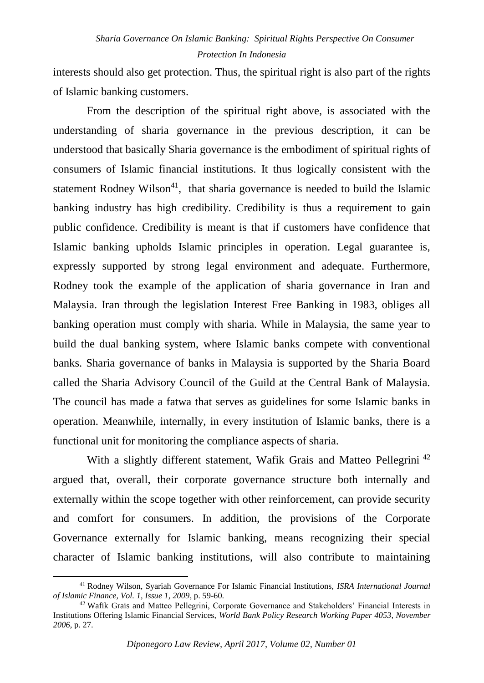interests should also get protection. Thus, the spiritual right is also part of the rights of Islamic banking customers.

From the description of the spiritual right above, is associated with the understanding of sharia governance in the previous description, it can be understood that basically Sharia governance is the embodiment of spiritual rights of consumers of Islamic financial institutions. It thus logically consistent with the statement Rodney Wilson<sup>41</sup>, that sharia governance is needed to build the Islamic banking industry has high credibility. Credibility is thus a requirement to gain public confidence. Credibility is meant is that if customers have confidence that Islamic banking upholds Islamic principles in operation. Legal guarantee is, expressly supported by strong legal environment and adequate. Furthermore, Rodney took the example of the application of sharia governance in Iran and Malaysia. Iran through the legislation Interest Free Banking in 1983, obliges all banking operation must comply with sharia. While in Malaysia, the same year to build the dual banking system, where Islamic banks compete with conventional banks. Sharia governance of banks in Malaysia is supported by the Sharia Board called the Sharia Advisory Council of the Guild at the Central Bank of Malaysia. The council has made a fatwa that serves as guidelines for some Islamic banks in operation. Meanwhile, internally, in every institution of Islamic banks, there is a functional unit for monitoring the compliance aspects of sharia.

With a slightly different statement, Wafik Grais and Matteo Pellegrini<sup>42</sup> argued that, overall, their corporate governance structure both internally and externally within the scope together with other reinforcement, can provide security and comfort for consumers. In addition, the provisions of the Corporate Governance externally for Islamic banking, means recognizing their special character of Islamic banking institutions, will also contribute to maintaining

<sup>41</sup> Rodney Wilson, Syariah Governance For Islamic Financial Institutions, *ISRA International Journal of Islamic Finance, Vol. 1, Issue 1, 2009*, p. 59-60.

<sup>42</sup> Wafik Grais and Matteo Pellegrini, Corporate Governance and Stakeholders' Financial Interests in Institutions Offering Islamic Financial Services, *World Bank Policy Research Working Paper 4053, November 2006*, p. 27.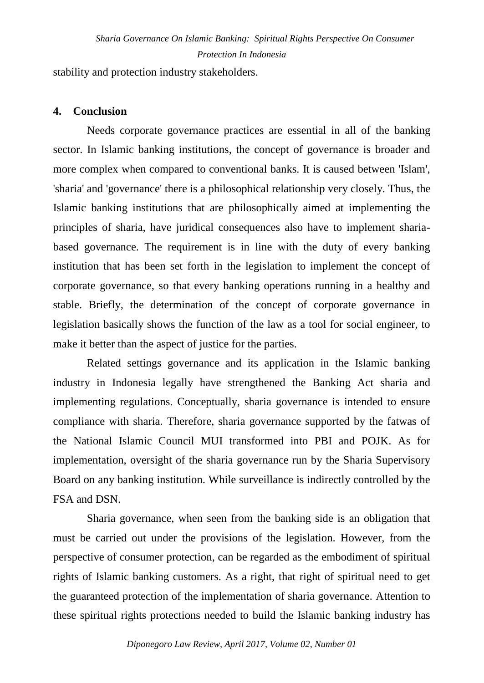stability and protection industry stakeholders.

#### **4. Conclusion**

Needs corporate governance practices are essential in all of the banking sector. In Islamic banking institutions, the concept of governance is broader and more complex when compared to conventional banks. It is caused between 'Islam', 'sharia' and 'governance' there is a philosophical relationship very closely. Thus, the Islamic banking institutions that are philosophically aimed at implementing the principles of sharia, have juridical consequences also have to implement shariabased governance. The requirement is in line with the duty of every banking institution that has been set forth in the legislation to implement the concept of corporate governance, so that every banking operations running in a healthy and stable. Briefly, the determination of the concept of corporate governance in legislation basically shows the function of the law as a tool for social engineer, to make it better than the aspect of justice for the parties.

Related settings governance and its application in the Islamic banking industry in Indonesia legally have strengthened the Banking Act sharia and implementing regulations. Conceptually, sharia governance is intended to ensure compliance with sharia. Therefore, sharia governance supported by the fatwas of the National Islamic Council MUI transformed into PBI and POJK. As for implementation, oversight of the sharia governance run by the Sharia Supervisory Board on any banking institution. While surveillance is indirectly controlled by the FSA and DSN.

Sharia governance, when seen from the banking side is an obligation that must be carried out under the provisions of the legislation. However, from the perspective of consumer protection, can be regarded as the embodiment of spiritual rights of Islamic banking customers. As a right, that right of spiritual need to get the guaranteed protection of the implementation of sharia governance. Attention to these spiritual rights protections needed to build the Islamic banking industry has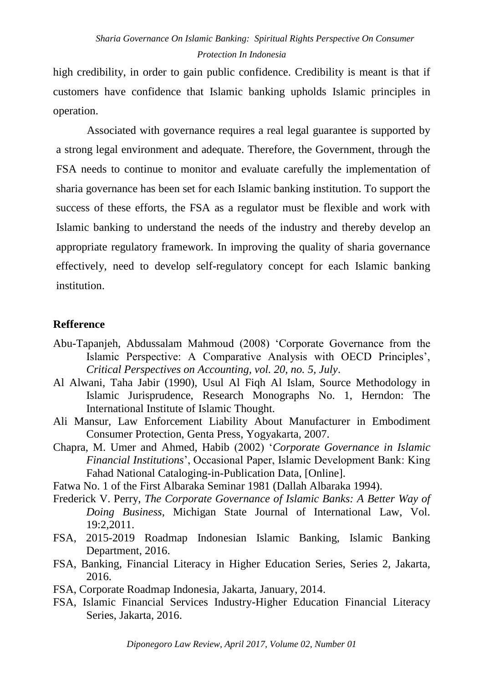high credibility, in order to gain public confidence. Credibility is meant is that if customers have confidence that Islamic banking upholds Islamic principles in operation.

Associated with governance requires a real legal guarantee is supported by a strong legal environment and adequate. Therefore, the Government, through the FSA needs to continue to monitor and evaluate carefully the implementation of sharia governance has been set for each Islamic banking institution. To support the success of these efforts, the FSA as a regulator must be flexible and work with Islamic banking to understand the needs of the industry and thereby develop an appropriate regulatory framework. In improving the quality of sharia governance effectively, need to develop self-regulatory concept for each Islamic banking institution.

#### **Refference**

- Abu-Tapanjeh, Abdussalam Mahmoud (2008) 'Corporate Governance from the Islamic Perspective: A Comparative Analysis with OECD Principles', *Critical Perspectives on Accounting, vol. 20, no. 5, July*.
- Al Alwani, Taha Jabir (1990), Usul Al Fiqh Al Islam, Source Methodology in Islamic Jurisprudence, Research Monographs No. 1, Herndon: The International Institute of Islamic Thought.
- Ali Mansur, Law Enforcement Liability About Manufacturer in Embodiment Consumer Protection, Genta Press, Yogyakarta, 2007.
- Chapra, M. Umer and Ahmed, Habib (2002) '*Corporate Governance in Islamic Financial Institutions*', Occasional Paper, Islamic Development Bank: King Fahad National Cataloging-in-Publication Data, [Online].
- Fatwa No. 1 of the First Albaraka Seminar 1981 (Dallah Albaraka 1994).
- Frederick V. Perry, *The Corporate Governance of Islamic Banks: A Better Way of Doing Business*, Michigan State Journal of International Law, Vol. 19:2,2011.
- FSA, 2015-2019 Roadmap Indonesian Islamic Banking, Islamic Banking Department, 2016.
- FSA, Banking, Financial Literacy in Higher Education Series, Series 2, Jakarta, 2016.
- FSA, Corporate Roadmap Indonesia, Jakarta, January, 2014.
- FSA, Islamic Financial Services Industry-Higher Education Financial Literacy Series, Jakarta, 2016.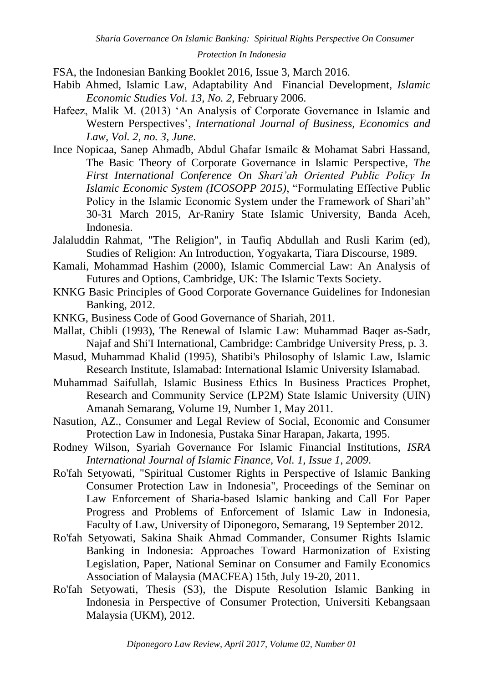#### *Protection In Indonesia*

FSA, the Indonesian Banking Booklet 2016, Issue 3, March 2016.

- Habib Ahmed, Islamic Law, Adaptability And Financial Development, *Islamic Economic Studies Vol. 13, No. 2,* February 2006.
- Hafeez, Malik M. (2013) 'An Analysis of Corporate Governance in Islamic and Western Perspectives', *International Journal of Business, Economics and Law, Vol. 2, no. 3, June*.
- Ince Nopicaa, Sanep Ahmadb, Abdul Ghafar Ismailc & Mohamat Sabri Hassand, The Basic Theory of Corporate Governance in Islamic Perspective, *The First International Conference On Shari'ah Oriented Public Policy In Islamic Economic System (ICOSOPP 2015)*, "Formulating Effective Public Policy in the Islamic Economic System under the Framework of Shari'ah" 30-31 March 2015, Ar-Raniry State Islamic University, Banda Aceh, Indonesia.
- Jalaluddin Rahmat, "The Religion", in Taufiq Abdullah and Rusli Karim (ed), Studies of Religion: An Introduction, Yogyakarta, Tiara Discourse, 1989.
- Kamali, Mohammad Hashim (2000), Islamic Commercial Law: An Analysis of Futures and Options, Cambridge, UK: The Islamic Texts Society.
- KNKG Basic Principles of Good Corporate Governance Guidelines for Indonesian Banking, 2012.
- KNKG, Business Code of Good Governance of Shariah, 2011.
- Mallat, Chibli (1993), The Renewal of Islamic Law: Muhammad Baqer as-Sadr, Najaf and Shi'I International, Cambridge: Cambridge University Press, p. 3.
- Masud, Muhammad Khalid (1995), Shatibi's Philosophy of Islamic Law, Islamic Research Institute, Islamabad: International Islamic University Islamabad.
- Muhammad Saifullah, Islamic Business Ethics In Business Practices Prophet, Research and Community Service (LP2M) State Islamic University (UIN) Amanah Semarang, Volume 19, Number 1, May 2011.
- Nasution, AZ., Consumer and Legal Review of Social, Economic and Consumer Protection Law in Indonesia, Pustaka Sinar Harapan, Jakarta, 1995.
- Rodney Wilson, Syariah Governance For Islamic Financial Institutions, *ISRA International Journal of Islamic Finance, Vol. 1, Issue 1, 2009*.
- Ro'fah Setyowati, "Spiritual Customer Rights in Perspective of Islamic Banking Consumer Protection Law in Indonesia", Proceedings of the Seminar on Law Enforcement of Sharia-based Islamic banking and Call For Paper Progress and Problems of Enforcement of Islamic Law in Indonesia, Faculty of Law, University of Diponegoro, Semarang, 19 September 2012.
- Ro'fah Setyowati, Sakina Shaik Ahmad Commander, Consumer Rights Islamic Banking in Indonesia: Approaches Toward Harmonization of Existing Legislation, Paper, National Seminar on Consumer and Family Economics Association of Malaysia (MACFEA) 15th, July 19-20, 2011.
- Ro'fah Setyowati, Thesis (S3), the Dispute Resolution Islamic Banking in Indonesia in Perspective of Consumer Protection, Universiti Kebangsaan Malaysia (UKM), 2012.